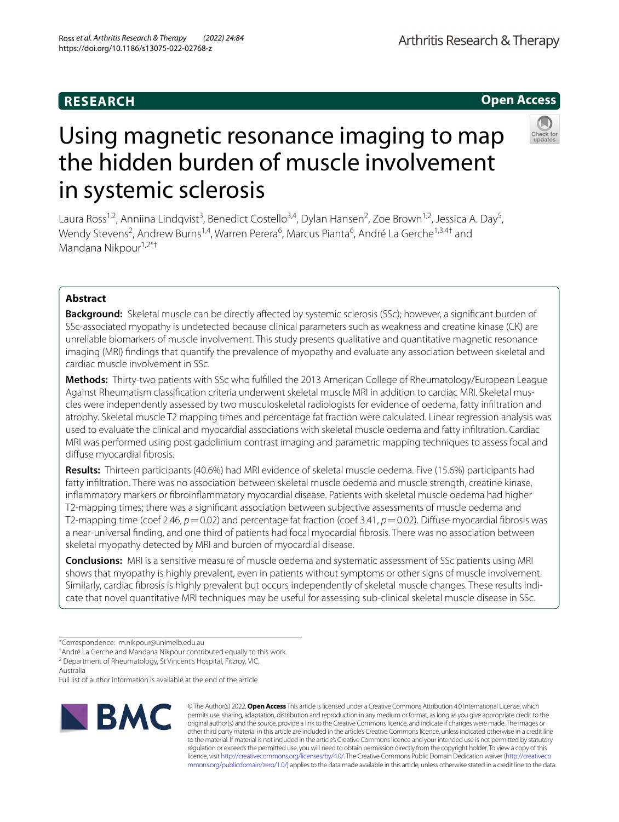# **Open Access**



# Using magnetic resonance imaging to map the hidden burden of muscle involvement in systemic sclerosis

Laura Ross<sup>1,2</sup>, Anniina Lindqvist<sup>3</sup>, Benedict Costello<sup>3,4</sup>, Dylan Hansen<sup>2</sup>, Zoe Brown<sup>1,2</sup>, Jessica A. Day<sup>5</sup>, Wendy Stevens<sup>2</sup>, Andrew Burns<sup>1,4</sup>, Warren Perera<sup>6</sup>, Marcus Pianta<sup>6</sup>, André La Gerche<sup>1,3,4†</sup> and Mandana Nikpour<sup>1,2\*†</sup>

## **Abstract**

**Background:** Skeletal muscle can be directly affected by systemic sclerosis (SSc); however, a significant burden of SSc-associated myopathy is undetected because clinical parameters such as weakness and creatine kinase (CK) are unreliable biomarkers of muscle involvement. This study presents qualitative and quantitative magnetic resonance imaging (MRI) fndings that quantify the prevalence of myopathy and evaluate any association between skeletal and cardiac muscle involvement in SSc.

**Methods:** Thirty-two patients with SSc who fulflled the 2013 American College of Rheumatology/European League Against Rheumatism classifcation criteria underwent skeletal muscle MRI in addition to cardiac MRI. Skeletal muscles were independently assessed by two musculoskeletal radiologists for evidence of oedema, fatty infltration and atrophy. Skeletal muscle T2 mapping times and percentage fat fraction were calculated. Linear regression analysis was used to evaluate the clinical and myocardial associations with skeletal muscle oedema and fatty infltration. Cardiac MRI was performed using post gadolinium contrast imaging and parametric mapping techniques to assess focal and difuse myocardial fbrosis.

**Results:** Thirteen participants (40.6%) had MRI evidence of skeletal muscle oedema. Five (15.6%) participants had fatty infltration. There was no association between skeletal muscle oedema and muscle strength, creatine kinase, infammatory markers or fbroinfammatory myocardial disease. Patients with skeletal muscle oedema had higher T2-mapping times; there was a signifcant association between subjective assessments of muscle oedema and T2-mapping time (coef 2.46,  $p=0.02$ ) and percentage fat fraction (coef 3.41,  $p=0.02$ ). Diffuse myocardial fibrosis was a near-universal fnding, and one third of patients had focal myocardial fbrosis. There was no association between skeletal myopathy detected by MRI and burden of myocardial disease.

**Conclusions:** MRI is a sensitive measure of muscle oedema and systematic assessment of SSc patients using MRI shows that myopathy is highly prevalent, even in patients without symptoms or other signs of muscle involvement. Similarly, cardiac fbrosis is highly prevalent but occurs independently of skeletal muscle changes. These results indicate that novel quantitative MRI techniques may be useful for assessing sub-clinical skeletal muscle disease in SSc.

Full list of author information is available at the end of the article



© The Author(s) 2022. **Open Access** This article is licensed under a Creative Commons Attribution 4.0 International License, which permits use, sharing, adaptation, distribution and reproduction in any medium or format, as long as you give appropriate credit to the original author(s) and the source, provide a link to the Creative Commons licence, and indicate if changes were made. The images or other third party material in this article are included in the article's Creative Commons licence, unless indicated otherwise in a credit line to the material. If material is not included in the article's Creative Commons licence and your intended use is not permitted by statutory regulation or exceeds the permitted use, you will need to obtain permission directly from the copyright holder. To view a copy of this licence, visit [http://creativecommons.org/licenses/by/4.0/.](http://creativecommons.org/licenses/by/4.0/) The Creative Commons Public Domain Dedication waiver ([http://creativeco](http://creativecommons.org/publicdomain/zero/1.0/) [mmons.org/publicdomain/zero/1.0/](http://creativecommons.org/publicdomain/zero/1.0/)) applies to the data made available in this article, unless otherwise stated in a credit line to the data.

<sup>\*</sup>Correspondence: m.nikpour@unimelb.edu.au

<sup>†</sup> André La Gerche and Mandana Nikpour contributed equally to this work.

<sup>&</sup>lt;sup>2</sup> Department of Rheumatology, St Vincent's Hospital, Fitzroy, VIC,

Australia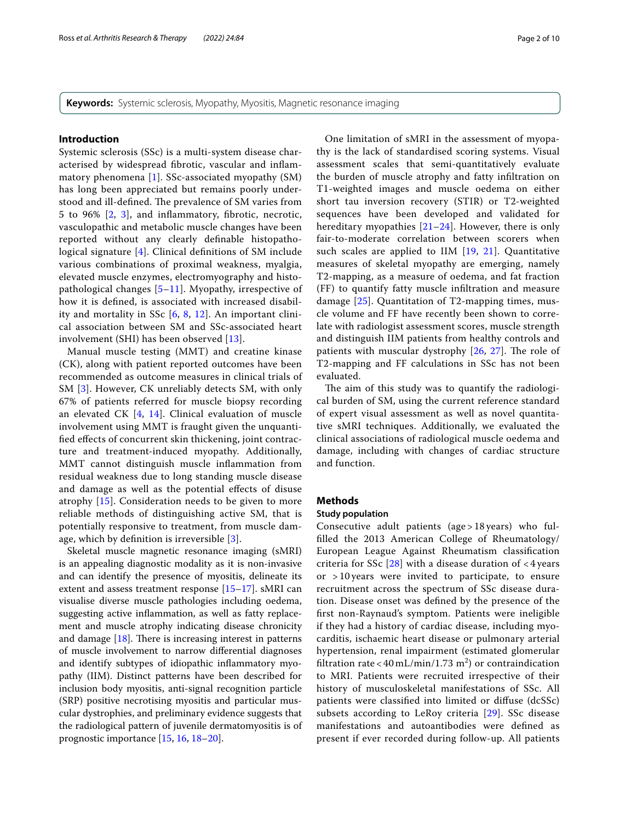**Keywords:** Systemic sclerosis, Myopathy, Myositis, Magnetic resonance imaging

## **Introduction**

Systemic sclerosis (SSc) is a multi-system disease characterised by widespread fbrotic, vascular and infammatory phenomena [[1](#page-9-0)]. SSc-associated myopathy (SM) has long been appreciated but remains poorly understood and ill-defined. The prevalence of SM varies from 5 to 96% [\[2,](#page-9-1) [3\]](#page-9-2), and infammatory, fbrotic, necrotic, vasculopathic and metabolic muscle changes have been reported without any clearly defnable histopathological signature [[4\]](#page-9-3). Clinical defnitions of SM include various combinations of proximal weakness, myalgia, elevated muscle enzymes, electromyography and histopathological changes [[5](#page-9-4)–[11](#page-9-5)]. Myopathy, irrespective of how it is defned, is associated with increased disability and mortality in SSc  $[6, 8, 12]$  $[6, 8, 12]$  $[6, 8, 12]$  $[6, 8, 12]$  $[6, 8, 12]$  $[6, 8, 12]$  $[6, 8, 12]$ . An important clinical association between SM and SSc-associated heart involvement (SHI) has been observed [[13](#page-9-9)].

Manual muscle testing (MMT) and creatine kinase (CK), along with patient reported outcomes have been recommended as outcome measures in clinical trials of SM [[3\]](#page-9-2). However, CK unreliably detects SM, with only 67% of patients referred for muscle biopsy recording an elevated CK [[4,](#page-9-3) [14](#page-9-10)]. Clinical evaluation of muscle involvement using MMT is fraught given the unquantifed efects of concurrent skin thickening, joint contracture and treatment-induced myopathy. Additionally, MMT cannot distinguish muscle infammation from residual weakness due to long standing muscle disease and damage as well as the potential efects of disuse atrophy [[15\]](#page-9-11). Consideration needs to be given to more reliable methods of distinguishing active SM, that is potentially responsive to treatment, from muscle damage, which by defnition is irreversible [[3\]](#page-9-2).

Skeletal muscle magnetic resonance imaging (sMRI) is an appealing diagnostic modality as it is non-invasive and can identify the presence of myositis, delineate its extent and assess treatment response [[15](#page-9-11)[–17](#page-9-12)]. sMRI can visualise diverse muscle pathologies including oedema, suggesting active infammation, as well as fatty replacement and muscle atrophy indicating disease chronicity and damage  $[18]$  $[18]$ . There is increasing interest in patterns of muscle involvement to narrow diferential diagnoses and identify subtypes of idiopathic infammatory myopathy (IIM). Distinct patterns have been described for inclusion body myositis, anti-signal recognition particle (SRP) positive necrotising myositis and particular muscular dystrophies, and preliminary evidence suggests that the radiological pattern of juvenile dermatomyositis is of prognostic importance [\[15](#page-9-11), [16,](#page-9-14) [18](#page-9-13)[–20\]](#page-9-15).

One limitation of sMRI in the assessment of myopathy is the lack of standardised scoring systems. Visual assessment scales that semi-quantitatively evaluate the burden of muscle atrophy and fatty infltration on T1-weighted images and muscle oedema on either short tau inversion recovery (STIR) or T2-weighted sequences have been developed and validated for hereditary myopathies  $[21–24]$  $[21–24]$  $[21–24]$  $[21–24]$ . However, there is only fair-to-moderate correlation between scorers when such scales are applied to IIM [\[19](#page-9-18), [21](#page-9-16)]. Quantitative measures of skeletal myopathy are emerging, namely T2-mapping, as a measure of oedema, and fat fraction (FF) to quantify fatty muscle infltration and measure damage [[25\]](#page-9-19). Quantitation of T2-mapping times, muscle volume and FF have recently been shown to correlate with radiologist assessment scores, muscle strength and distinguish IIM patients from healthy controls and patients with muscular dystrophy  $[26, 27]$  $[26, 27]$  $[26, 27]$  $[26, 27]$ . The role of T2-mapping and FF calculations in SSc has not been evaluated.

The aim of this study was to quantify the radiological burden of SM, using the current reference standard of expert visual assessment as well as novel quantitative sMRI techniques. Additionally, we evaluated the clinical associations of radiological muscle oedema and damage, including with changes of cardiac structure and function.

## **Methods**

#### **Study population**

Consecutive adult patients (age > 18 years) who fulflled the 2013 American College of Rheumatology/ European League Against Rheumatism classifcation criteria for SSc  $[28]$  $[28]$  with a disease duration of  $\lt$  4 years or > 10 years were invited to participate, to ensure recruitment across the spectrum of SSc disease duration. Disease onset was defned by the presence of the frst non-Raynaud's symptom. Patients were ineligible if they had a history of cardiac disease, including myocarditis, ischaemic heart disease or pulmonary arterial hypertension, renal impairment (estimated glomerular filtration rate < 40 mL/min/1.73 m<sup>2</sup>) or contraindication to MRI. Patients were recruited irrespective of their history of musculoskeletal manifestations of SSc. All patients were classifed into limited or difuse (dcSSc) subsets according to LeRoy criteria [[29\]](#page-9-23). SSc disease manifestations and autoantibodies were defned as present if ever recorded during follow-up. All patients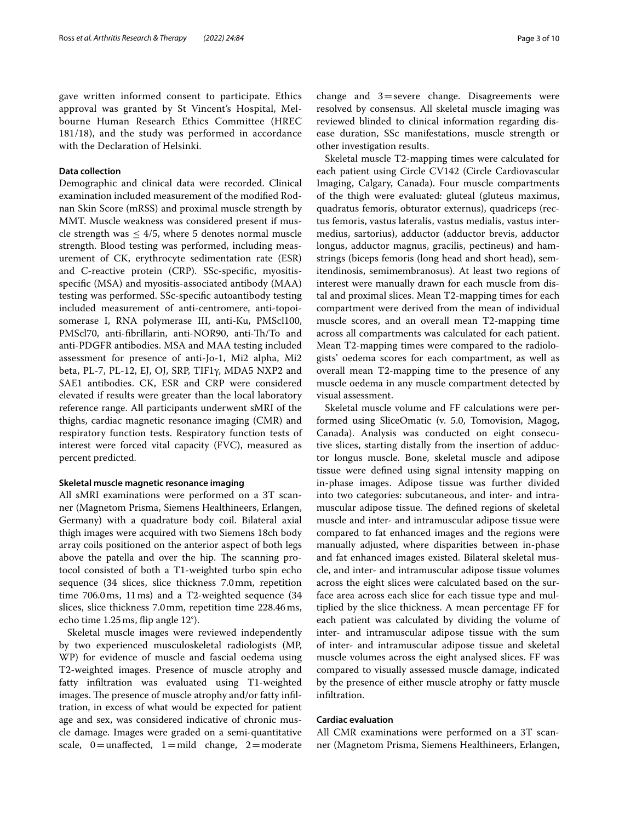gave written informed consent to participate. Ethics approval was granted by St Vincent's Hospital, Melbourne Human Research Ethics Committee (HREC 181/18), and the study was performed in accordance with the Declaration of Helsinki.

## **Data collection**

Demographic and clinical data were recorded. Clinical examination included measurement of the modifed Rodnan Skin Score (mRSS) and proximal muscle strength by MMT. Muscle weakness was considered present if muscle strength was  $\leq 4/5$ , where 5 denotes normal muscle strength. Blood testing was performed, including measurement of CK, erythrocyte sedimentation rate (ESR) and C-reactive protein (CRP). SSc-specifc, myositisspecifc (MSA) and myositis-associated antibody (MAA) testing was performed. SSc-specifc autoantibody testing included measurement of anti-centromere, anti-topoisomerase I, RNA polymerase III, anti-Ku, PMScl100, PMScl70, anti-fibrillarin, anti-NOR90, anti-Th/To and anti-PDGFR antibodies. MSA and MAA testing included assessment for presence of anti-Jo-1, Mi2 alpha, Mi2 beta, PL-7, PL-12, EJ, OJ, SRP, TIF1γ, MDA5 NXP2 and SAE1 antibodies. CK, ESR and CRP were considered elevated if results were greater than the local laboratory reference range. All participants underwent sMRI of the thighs, cardiac magnetic resonance imaging (CMR) and respiratory function tests. Respiratory function tests of interest were forced vital capacity (FVC), measured as percent predicted.

#### **Skeletal muscle magnetic resonance imaging**

All sMRI examinations were performed on a 3T scanner (Magnetom Prisma, Siemens Healthineers, Erlangen, Germany) with a quadrature body coil. Bilateral axial thigh images were acquired with two Siemens 18ch body array coils positioned on the anterior aspect of both legs above the patella and over the hip. The scanning protocol consisted of both a T1-weighted turbo spin echo sequence (34 slices, slice thickness 7.0mm, repetition time 706.0ms, 11ms) and a T2-weighted sequence (34 slices, slice thickness 7.0mm, repetition time 228.46ms, echo time 1.25ms, fip angle 12°).

Skeletal muscle images were reviewed independently by two experienced musculoskeletal radiologists (MP, WP) for evidence of muscle and fascial oedema using T2-weighted images. Presence of muscle atrophy and fatty infltration was evaluated using T1-weighted images. The presence of muscle atrophy and/or fatty infiltration, in excess of what would be expected for patient age and sex, was considered indicative of chronic muscle damage. Images were graded on a semi-quantitative scale,  $0=$ unaffected,  $1=$ mild change,  $2=$ moderate change and  $3$ =severe change. Disagreements were resolved by consensus. All skeletal muscle imaging was reviewed blinded to clinical information regarding disease duration, SSc manifestations, muscle strength or other investigation results.

Skeletal muscle T2-mapping times were calculated for each patient using Circle CV142 (Circle Cardiovascular Imaging, Calgary, Canada). Four muscle compartments of the thigh were evaluated: gluteal (gluteus maximus, quadratus femoris, obturator externus), quadriceps (rectus femoris, vastus lateralis, vastus medialis, vastus intermedius, sartorius), adductor (adductor brevis, adductor longus, adductor magnus, gracilis, pectineus) and hamstrings (biceps femoris (long head and short head), semitendinosis, semimembranosus). At least two regions of interest were manually drawn for each muscle from distal and proximal slices. Mean T2-mapping times for each compartment were derived from the mean of individual muscle scores, and an overall mean T2-mapping time across all compartments was calculated for each patient. Mean T2-mapping times were compared to the radiologists' oedema scores for each compartment, as well as overall mean T2-mapping time to the presence of any muscle oedema in any muscle compartment detected by visual assessment.

Skeletal muscle volume and FF calculations were performed using SliceOmatic (v. 5.0, Tomovision, Magog, Canada). Analysis was conducted on eight consecutive slices, starting distally from the insertion of adductor longus muscle. Bone, skeletal muscle and adipose tissue were defned using signal intensity mapping on in-phase images. Adipose tissue was further divided into two categories: subcutaneous, and inter- and intramuscular adipose tissue. The defined regions of skeletal muscle and inter- and intramuscular adipose tissue were compared to fat enhanced images and the regions were manually adjusted, where disparities between in-phase and fat enhanced images existed. Bilateral skeletal muscle, and inter- and intramuscular adipose tissue volumes across the eight slices were calculated based on the surface area across each slice for each tissue type and multiplied by the slice thickness. A mean percentage FF for each patient was calculated by dividing the volume of inter- and intramuscular adipose tissue with the sum of inter- and intramuscular adipose tissue and skeletal muscle volumes across the eight analysed slices. FF was compared to visually assessed muscle damage, indicated by the presence of either muscle atrophy or fatty muscle infltration.

## **Cardiac evaluation**

All CMR examinations were performed on a 3T scanner (Magnetom Prisma, Siemens Healthineers, Erlangen,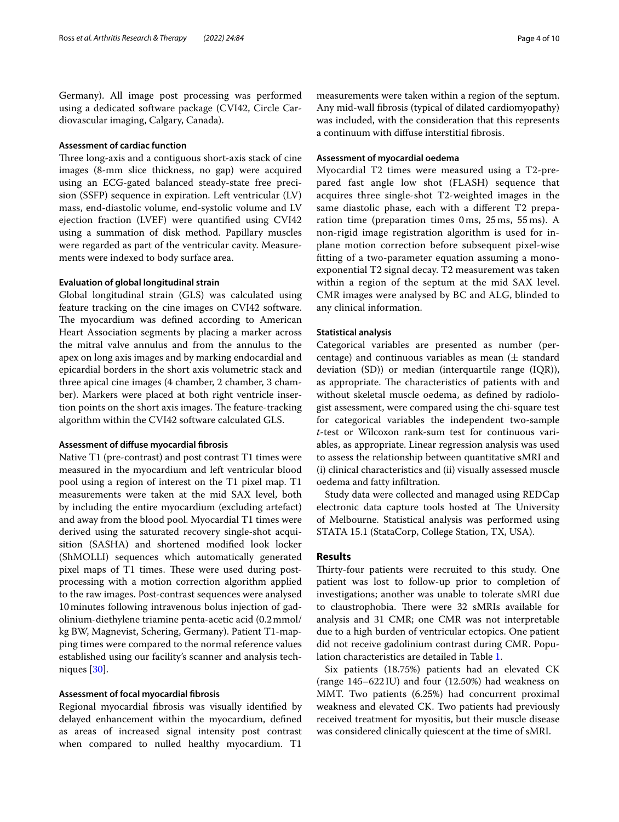Germany). All image post processing was performed using a dedicated software package (CVI42, Circle Cardiovascular imaging, Calgary, Canada).

## **Assessment of cardiac function**

Three long-axis and a contiguous short-axis stack of cine images (8-mm slice thickness, no gap) were acquired using an ECG-gated balanced steady-state free precision (SSFP) sequence in expiration. Left ventricular (LV) mass, end-diastolic volume, end-systolic volume and LV ejection fraction (LVEF) were quantifed using CVI42 using a summation of disk method. Papillary muscles were regarded as part of the ventricular cavity. Measurements were indexed to body surface area.

## **Evaluation of global longitudinal strain**

Global longitudinal strain (GLS) was calculated using feature tracking on the cine images on CVI42 software. The myocardium was defined according to American Heart Association segments by placing a marker across the mitral valve annulus and from the annulus to the apex on long axis images and by marking endocardial and epicardial borders in the short axis volumetric stack and three apical cine images (4 chamber, 2 chamber, 3 chamber). Markers were placed at both right ventricle insertion points on the short axis images. The feature-tracking algorithm within the CVI42 software calculated GLS.

#### **Assessment of difuse myocardial fbrosis**

Native T1 (pre-contrast) and post contrast T1 times were measured in the myocardium and left ventricular blood pool using a region of interest on the T1 pixel map. T1 measurements were taken at the mid SAX level, both by including the entire myocardium (excluding artefact) and away from the blood pool. Myocardial T1 times were derived using the saturated recovery single-shot acquisition (SASHA) and shortened modifed look locker (ShMOLLI) sequences which automatically generated pixel maps of T1 times. These were used during postprocessing with a motion correction algorithm applied to the raw images. Post-contrast sequences were analysed 10minutes following intravenous bolus injection of gadolinium-diethylene triamine penta-acetic acid (0.2mmol/ kg BW, Magnevist, Schering, Germany). Patient T1-mapping times were compared to the normal reference values established using our facility's scanner and analysis techniques [\[30\]](#page-9-24).

## **Assessment of focal myocardial fbrosis**

Regional myocardial fbrosis was visually identifed by delayed enhancement within the myocardium, defned as areas of increased signal intensity post contrast when compared to nulled healthy myocardium. T1

measurements were taken within a region of the septum. Any mid-wall fbrosis (typical of dilated cardiomyopathy) was included, with the consideration that this represents a continuum with difuse interstitial fbrosis.

## **Assessment of myocardial oedema**

Myocardial T2 times were measured using a T2-prepared fast angle low shot (FLASH) sequence that acquires three single-shot T2-weighted images in the same diastolic phase, each with a diferent T2 preparation time (preparation times 0 ms, 25 ms, 55 ms). A non-rigid image registration algorithm is used for inplane motion correction before subsequent pixel-wise ftting of a two-parameter equation assuming a monoexponential T2 signal decay. T2 measurement was taken within a region of the septum at the mid SAX level. CMR images were analysed by BC and ALG, blinded to any clinical information.

## **Statistical analysis**

Categorical variables are presented as number (percentage) and continuous variables as mean  $(\pm$  standard deviation (SD)) or median (interquartile range (IQR)), as appropriate. The characteristics of patients with and without skeletal muscle oedema, as defned by radiologist assessment, were compared using the chi-square test for categorical variables the independent two-sample *t*-test or Wilcoxon rank-sum test for continuous variables, as appropriate. Linear regression analysis was used to assess the relationship between quantitative sMRI and (i) clinical characteristics and (ii) visually assessed muscle oedema and fatty infltration.

Study data were collected and managed using REDCap electronic data capture tools hosted at The University of Melbourne. Statistical analysis was performed using STATA 15.1 (StataCorp, College Station, TX, USA).

## **Results**

Thirty-four patients were recruited to this study. One patient was lost to follow-up prior to completion of investigations; another was unable to tolerate sMRI due to claustrophobia. There were 32 sMRIs available for analysis and 31 CMR; one CMR was not interpretable due to a high burden of ventricular ectopics. One patient did not receive gadolinium contrast during CMR. Population characteristics are detailed in Table [1.](#page-4-0)

Six patients (18.75%) patients had an elevated CK (range 145–622IU) and four (12.50%) had weakness on MMT. Two patients (6.25%) had concurrent proximal weakness and elevated CK. Two patients had previously received treatment for myositis, but their muscle disease was considered clinically quiescent at the time of sMRI.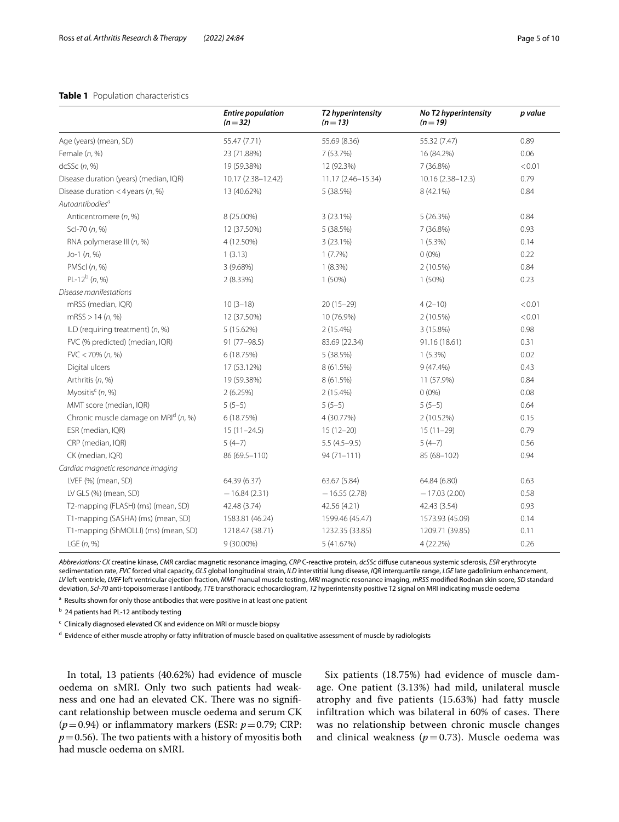## <span id="page-4-0"></span>**Table 1** Population characteristics

|                                        | <b>Entire population</b><br>$(n=32)$ | T2 hyperintensity<br>$(n=13)$ | No T2 hyperintensity<br>$(n=19)$ | p value |
|----------------------------------------|--------------------------------------|-------------------------------|----------------------------------|---------|
| Age (years) (mean, SD)                 | 55.47 (7.71)                         | 55.69 (8.36)                  | 55.32 (7.47)                     | 0.89    |
| Female $(n, %)$                        | 23 (71.88%)                          | 7 (53.7%)                     | 16 (84.2%)                       | 0.06    |
| dcSSc(n, %)                            | 19 (59.38%)                          | 12 (92.3%)                    | 7(36.8%)                         | < 0.01  |
| Disease duration (years) (median, IQR) | 10.17 (2.38-12.42)                   | 11.17 (2.46-15.34)            | 10.16 (2.38-12.3)                | 0.79    |
| Disease duration < 4 years ( $n$ , %)  | 13 (40.62%)                          | 5 (38.5%)                     | 8 (42.1%)                        | 0.84    |
| Autoantibodies <sup>a</sup>            |                                      |                               |                                  |         |
| Anticentromere (n, %)                  | 8 (25.00%)                           | $3(23.1\%)$                   | 5(26.3%)                         | 0.84    |
| Scl-70 (n, %)                          | 12 (37.50%)                          | 5 (38.5%)                     | 7 (36.8%)                        | 0.93    |
| RNA polymerase III (n, %)              | 4 (12.50%)                           | 3(23.1%)                      | $1(5.3\%)$                       | 0.14    |
| $Jo-1(n, %)$                           | 1(3.13)                              | $1(7.7\%)$                    | $0(0\%)$                         | 0.22    |
| PMScl $(n, %)$                         | 3 (9.68%)                            | $1(8.3\%)$                    | 2 (10.5%)                        | 0.84    |
| PL-12 $^{b}$ (n, %)                    | 2(8.33%)                             | 1 (50%)                       | 1 (50%)                          | 0.23    |
| Disease manifestations                 |                                      |                               |                                  |         |
| mRSS (median, IQR)                     | $10(3-18)$                           | $20(15-29)$                   | $4(2-10)$                        | < 0.01  |
| mRSS > 14 (n, %)                       | 12 (37.50%)                          | 10 (76.9%)                    | 2 (10.5%)                        | < 0.01  |
| ILD (requiring treatment) $(n, %)$     | 5 (15.62%)                           | 2 (15.4%)                     | 3 (15.8%)                        | 0.98    |
| FVC (% predicted) (median, IQR)        | $91(77-98.5)$                        | 83.69 (22.34)                 | 91.16 (18.61)                    | 0.31    |
| $FVC < 70\% (n, %)$                    | 6 (18.75%)                           | 5 (38.5%)                     | $1(5.3\%)$                       | 0.02    |
| Digital ulcers                         | 17 (53.12%)                          | 8 (61.5%)                     | $9(47.4\%)$                      | 0.43    |
| Arthritis (n, %)                       | 19 (59.38%)                          | 8 (61.5%)                     | 11 (57.9%)                       | 0.84    |
| Myositis <sup>c</sup> (n, %)           | 2(6.25%)                             | 2 (15.4%)                     | $0(0\%)$                         | 0.08    |
| MMT score (median, IQR)                | $5(5-5)$                             | $5(5-5)$                      | $5(5-5)$                         | 0.64    |
| Chronic muscle damage on MRId (n, %)   | 6 (18.75%)                           | 4 (30.77%)                    | 2 (10.52%)                       | 0.15    |
| ESR (median, IQR)                      | $15(11 - 24.5)$                      | $15(12-20)$                   | $15(11-29)$                      | 0.79    |
| CRP (median, IQR)                      | $5(4-7)$                             | $5.5(4.5-9.5)$                | $5(4-7)$                         | 0.56    |
| CK (median, IQR)                       | 86 (69.5-110)                        | $94(71 - 111)$                | 85 (68-102)                      | 0.94    |
| Cardiac magnetic resonance imaging     |                                      |                               |                                  |         |
| LVEF (%) (mean, SD)                    | 64.39 (6.37)                         | 63.67 (5.84)                  | 64.84 (6.80)                     | 0.63    |
| LV GLS (%) (mean, SD)                  | $-16.84(2.31)$                       | $-16.55(2.78)$                | $-17.03(2.00)$                   | 0.58    |
| T2-mapping (FLASH) (ms) (mean, SD)     | 42.48 (3.74)                         | 42.56 (4.21)                  | 42.43 (3.54)                     | 0.93    |
| T1-mapping (SASHA) (ms) (mean, SD)     | 1583.81 (46.24)                      | 1599.46 (45.47)               | 1573.93 (45.09)                  | 0.14    |
| T1-mapping (ShMOLLI) (ms) (mean, SD)   | 1218.47 (38.71)                      | 1232.35 (33.85)               | 1209.71 (39.85)                  | 0.11    |
| LGE $(n, %)$                           | 9 (30.00%)                           | 5 (41.67%)                    | 4 (22.2%)                        | 0.26    |

*Abbreviations: CK* creatine kinase, *CMR* cardiac magnetic resonance imaging, *CRP* C-reactive protein, *dcSSc* difuse cutaneous systemic sclerosis, *ESR* erythrocyte sedimentation rate, *FVC* forced vital capacity, *GLS* global longitudinal strain, *ILD* interstitial lung disease, *IQR* interquartile range, *LGE* late gadolinium enhancement, *LV* left ventricle, *LVEF* left ventricular ejection fraction, *MMT* manual muscle testing, *MRI* magnetic resonance imaging, *mRSS* modifed Rodnan skin score, *SD* standard deviation, *Scl-70* anti-topoisomerase I antibody, *TTE* transthoracic echocardiogram, *T2* hyperintensity positive T2 signal on MRI indicating muscle oedema

<sup>a</sup> Results shown for only those antibodies that were positive in at least one patient

<sup>b</sup> 24 patients had PL-12 antibody testing

<sup>c</sup> Clinically diagnosed elevated CK and evidence on MRI or muscle biopsy

<sup>d</sup> Evidence of either muscle atrophy or fatty infiltration of muscle based on qualitative assessment of muscle by radiologists

In total, 13 patients (40.62%) had evidence of muscle oedema on sMRI. Only two such patients had weakness and one had an elevated CK. There was no significant relationship between muscle oedema and serum CK  $(p=0.94)$  or inflammatory markers (ESR:  $p=0.79$ ; CRP:  $p=0.56$ ). The two patients with a history of myositis both had muscle oedema on sMRI.

Six patients (18.75%) had evidence of muscle damage. One patient (3.13%) had mild, unilateral muscle atrophy and five patients (15.63%) had fatty muscle infiltration which was bilateral in 60% of cases. There was no relationship between chronic muscle changes and clinical weakness  $(p=0.73)$ . Muscle oedema was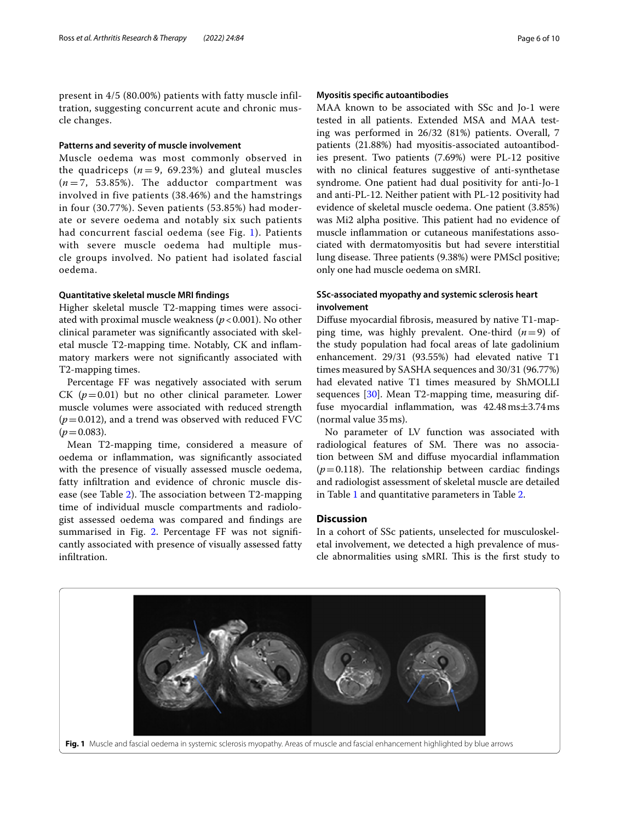present in 4/5 (80.00%) patients with fatty muscle infiltration, suggesting concurrent acute and chronic muscle changes.

## **Patterns and severity of muscle involvement**

Muscle oedema was most commonly observed in the quadriceps  $(n=9, 69.23%)$  and gluteal muscles  $(n=7, 53.85\%)$ . The adductor compartment was involved in five patients (38.46%) and the hamstrings in four (30.77%). Seven patients (53.85%) had moderate or severe oedema and notably six such patients had concurrent fascial oedema (see Fig. [1\)](#page-5-0). Patients with severe muscle oedema had multiple muscle groups involved. No patient had isolated fascial oedema.

#### **Quantitative skeletal muscle MRI fndings**

Higher skeletal muscle T2-mapping times were associated with proximal muscle weakness ( $p < 0.001$ ). No other clinical parameter was signifcantly associated with skeletal muscle T2-mapping time. Notably, CK and infammatory markers were not signifcantly associated with T2-mapping times.

Percentage FF was negatively associated with serum CK  $(p=0.01)$  but no other clinical parameter. Lower muscle volumes were associated with reduced strength  $(p=0.012)$ , and a trend was observed with reduced FVC  $(p=0.083)$ .

Mean T2-mapping time, considered a measure of oedema or infammation, was signifcantly associated with the presence of visually assessed muscle oedema, fatty infltration and evidence of chronic muscle dis-ease (see Table [2](#page-6-0)). The association between T2-mapping time of individual muscle compartments and radiologist assessed oedema was compared and fndings are summarised in Fig. [2](#page-7-0). Percentage FF was not significantly associated with presence of visually assessed fatty infltration.

## **Myositis specifc autoantibodies**

MAA known to be associated with SSc and Jo-1 were tested in all patients. Extended MSA and MAA testing was performed in 26/32 (81%) patients. Overall, 7 patients (21.88%) had myositis-associated autoantibodies present. Two patients (7.69%) were PL-12 positive with no clinical features suggestive of anti-synthetase syndrome. One patient had dual positivity for anti-Jo-1 and anti-PL-12. Neither patient with PL-12 positivity had evidence of skeletal muscle oedema. One patient (3.85%) was Mi2 alpha positive. This patient had no evidence of muscle infammation or cutaneous manifestations associated with dermatomyositis but had severe interstitial lung disease. Three patients (9.38%) were PMScl positive; only one had muscle oedema on sMRI.

## **SSc‑associated myopathy and systemic sclerosis heart involvement**

Difuse myocardial fbrosis, measured by native T1-mapping time, was highly prevalent. One-third  $(n=9)$  of the study population had focal areas of late gadolinium enhancement. 29/31 (93.55%) had elevated native T1 times measured by SASHA sequences and 30/31 (96.77%) had elevated native T1 times measured by ShMOLLI sequences [[30\]](#page-9-24). Mean T2-mapping time, measuring diffuse myocardial inflammation, was  $42.48 \text{ ms} \pm 3.74 \text{ ms}$ (normal value 35ms).

No parameter of LV function was associated with radiological features of SM. There was no association between SM and difuse myocardial infammation  $(p=0.118)$ . The relationship between cardiac findings and radiologist assessment of skeletal muscle are detailed in Table [1](#page-4-0) and quantitative parameters in Table [2.](#page-6-0)

#### **Discussion**

In a cohort of SSc patients, unselected for musculoskeletal involvement, we detected a high prevalence of muscle abnormalities using sMRI. This is the first study to

<span id="page-5-0"></span>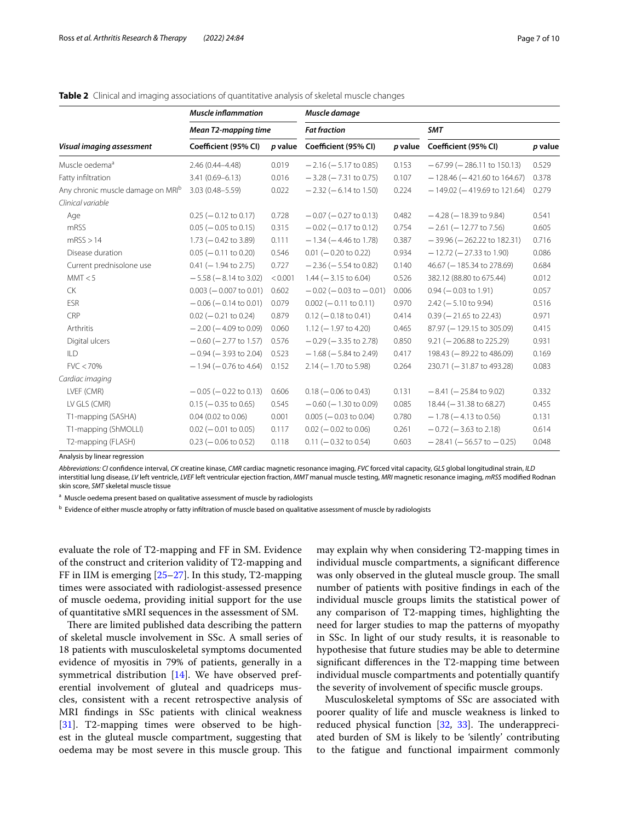|                                               | <b>Muscle inflammation</b><br><b>Mean T2-mapping time</b> |         | Muscle damage                   |         |                                  |         |  |
|-----------------------------------------------|-----------------------------------------------------------|---------|---------------------------------|---------|----------------------------------|---------|--|
| Visual imaging assessment                     |                                                           |         | <b>Fat fraction</b>             |         | <b>SMT</b>                       |         |  |
|                                               | Coefficient (95% CI)                                      | p value | Coefficient (95% CI)            | p value | Coefficient (95% CI)             | p value |  |
| Muscle oedema <sup>a</sup>                    | 2.46 (0.44-4.48)                                          | 0.019   | $-2.16$ ( $-5.17$ to 0.85)      | 0.153   | $-67.99$ ( $-286.11$ to 150.13)  | 0.529   |  |
| Fatty infiltration                            | $3.41(0.69 - 6.13)$                                       | 0.016   | $-3.28$ ( $-7.31$ to 0.75)      | 0.107   | $-128.46$ ( $-421.60$ to 164.67) | 0.378   |  |
| Any chronic muscle damage on MRI <sup>b</sup> | $3.03(0.48 - 5.59)$                                       | 0.022   | $-2.32$ ( $-6.14$ to 1.50)      | 0.224   | $-149.02$ ( $-419.69$ to 121.64) | 0.279   |  |
| Clinical variable                             |                                                           |         |                                 |         |                                  |         |  |
| Age                                           | $0.25$ ( $-0.12$ to 0.17)                                 | 0.728   | $-0.07$ ( $-0.27$ to 0.13)      | 0.482   | $-4.28$ ( $-18.39$ to 9.84)      | 0.541   |  |
| mRSS                                          | $0.05$ ( $-0.05$ to 0.15)                                 | 0.315   | $-0.02$ ( $-0.17$ to 0.12)      | 0.754   | $-2.61$ ( $-12.77$ to 7.56)      | 0.605   |  |
| mRSS > 14                                     | $1.73 (-0.42 to 3.89)$                                    | 0.111   | $-1.34$ ( $-4.46$ to 1.78)      | 0.387   | $-39.96$ ( $-262.22$ to 182.31)  | 0.716   |  |
| Disease duration                              | $0.05$ ( $-0.11$ to 0.20)                                 | 0.546   | $0.01$ (-0.20 to 0.22)          | 0.934   | $-12.72$ ( $-27.33$ to 1.90)     | 0.086   |  |
| Current prednisolone use                      | $0.41$ (-1.94 to 2.75)                                    | 0.727   | $-2.36$ ( $-5.54$ to 0.82)      | 0.140   | 46.67 (-185.34 to 278.69)        | 0.684   |  |
| MMT < 5                                       | $-5.58$ ( $-8.14$ to 3.02)                                | < 0.001 | $1.44 (-3.15 to 6.04)$          | 0.526   | 382.12 (88.80 to 675.44)         | 0.012   |  |
| <b>CK</b>                                     | $0.003 (-0.007 to 0.01)$                                  | 0.602   | $-0.02$ ( $-0.03$ to $-0.01$ )  | 0.006   | $0.94 (-0.03$ to 1.91)           | 0.057   |  |
| ESR                                           | $-0.06$ ( $-0.14$ to 0.01)                                | 0.079   | $0.002 (-0.11$ to 0.11)         | 0.970   | $2.42$ (-5.10 to 9.94)           | 0.516   |  |
| CRP                                           | $0.02$ ( $-0.21$ to 0.24)                                 | 0.879   | $0.12 (-0.18 \text{ to } 0.41)$ | 0.414   | $0.39$ (-21.65 to 22.43)         | 0.971   |  |
| Arthritis                                     | $-2.00$ ( $-4.09$ to 0.09)                                | 0.060   | $1.12$ (-1.97 to 4.20)          | 0.465   | 87.97 (-129.15 to 305.09)        | 0.415   |  |
| Digital ulcers                                | $-0.60$ ( $-2.77$ to 1.57)                                | 0.576   | $-0.29$ ( $-3.35$ to 2.78)      | 0.850   | $9.21 (-206.88$ to 225.29)       | 0.931   |  |
| ILD                                           | $-0.94$ ( $-3.93$ to 2.04)                                | 0.523   | $-1.68$ ( $-5.84$ to 2.49)      | 0.417   | 198.43 (-89.22 to 486.09)        | 0.169   |  |
| FVC < 70%                                     | $-1.94$ ( $-0.76$ to 4.64)                                | 0.152   | $2.14 (-1.70 to 5.98)$          | 0.264   | 230.71 (-31.87 to 493.28)        | 0.083   |  |
| Cardiac imaging                               |                                                           |         |                                 |         |                                  |         |  |
| LVEF (CMR)                                    | $-0.05$ ( $-0.22$ to 0.13)                                | 0.606   | $0.18 (-0.06 to 0.43)$          | 0.131   | $-8.41$ ( $-25.84$ to 9.02)      | 0.332   |  |
| LV GLS (CMR)                                  | $0.15$ (-0.35 to 0.65)                                    | 0.545   | $-0.60$ ( $-1.30$ to 0.09)      | 0.085   | 18.44 (-31.38 to 68.27)          | 0.455   |  |
| T1-mapping (SASHA)                            | $0.04$ (0.02 to 0.06)                                     | 0.001   | $0.005$ ( $-0.03$ to 0.04)      | 0.780   | $-1.78$ ( $-4.13$ to 0.56)       | 0.131   |  |
| T1-mapping (ShMOLLI)                          | $0.02$ (-0.01 to 0.05)                                    | 0.117   | $0.02$ (-0.02 to 0.06)          | 0.261   | $-0.72$ ( $-3.63$ to 2.18)       | 0.614   |  |
| T2-mapping (FLASH)                            | $0.23$ (-0.06 to 0.52)                                    | 0.118   | $0.11 (-0.32 to 0.54)$          | 0.603   | $-28.41$ ( $-56.57$ to $-0.25$ ) | 0.048   |  |

<span id="page-6-0"></span>**Table 2** Clinical and imaging associations of quantitative analysis of skeletal muscle changes

Analysis by linear regression

*Abbreviations: CI* confdence interval, *CK* creatine kinase, *CMR* cardiac magnetic resonance imaging, *FVC* forced vital capacity, *GLS* global longitudinal strain, *ILD* interstitial lung disease, *LV* left ventricle, *LVEF* left ventricular ejection fraction, *MMT* manual muscle testing, *MRI* magnetic resonance imaging, *mRSS* modifed Rodnan skin score, *SMT* skeletal muscle tissue

<sup>a</sup> Muscle oedema present based on qualitative assessment of muscle by radiologists

b Evidence of either muscle atrophy or fatty infiltration of muscle based on qualitative assessment of muscle by radiologists

evaluate the role of T2-mapping and FF in SM. Evidence of the construct and criterion validity of T2-mapping and FF in IIM is emerging [\[25](#page-9-19)–[27\]](#page-9-21). In this study, T2-mapping times were associated with radiologist-assessed presence of muscle oedema, providing initial support for the use of quantitative sMRI sequences in the assessment of SM.

There are limited published data describing the pattern of skeletal muscle involvement in SSc. A small series of 18 patients with musculoskeletal symptoms documented evidence of myositis in 79% of patients, generally in a symmetrical distribution [[14\]](#page-9-10). We have observed preferential involvement of gluteal and quadriceps muscles, consistent with a recent retrospective analysis of MRI fndings in SSc patients with clinical weakness [[31\]](#page-9-25). T2-mapping times were observed to be highest in the gluteal muscle compartment, suggesting that oedema may be most severe in this muscle group. This

may explain why when considering T2-mapping times in individual muscle compartments, a signifcant diference was only observed in the gluteal muscle group. The small number of patients with positive fndings in each of the individual muscle groups limits the statistical power of any comparison of T2-mapping times, highlighting the need for larger studies to map the patterns of myopathy in SSc. In light of our study results, it is reasonable to hypothesise that future studies may be able to determine signifcant diferences in the T2-mapping time between individual muscle compartments and potentially quantify the severity of involvement of specifc muscle groups.

Musculoskeletal symptoms of SSc are associated with poorer quality of life and muscle weakness is linked to reduced physical function  $[32, 33]$  $[32, 33]$  $[32, 33]$ . The underappreciated burden of SM is likely to be 'silently' contributing to the fatigue and functional impairment commonly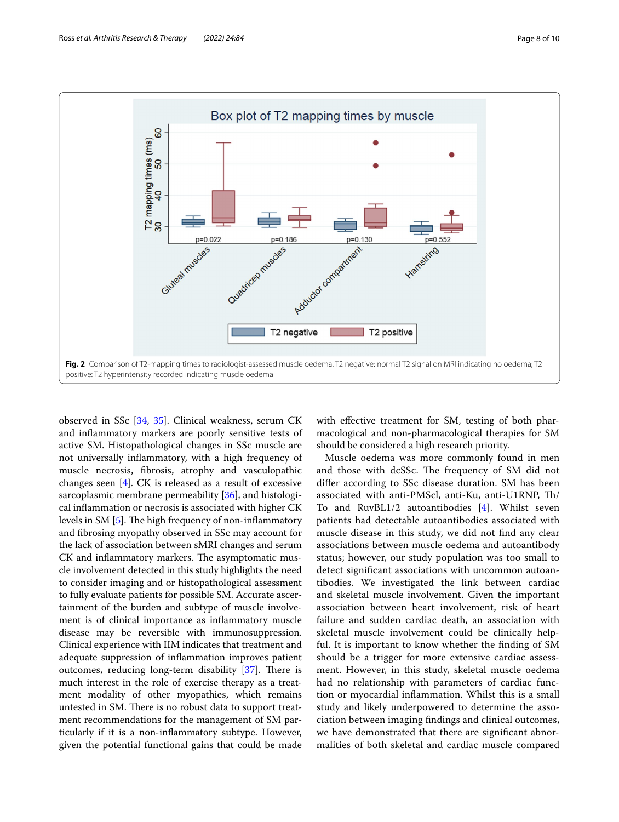

<span id="page-7-0"></span>observed in SSc [[34](#page-9-28), [35](#page-9-29)]. Clinical weakness, serum CK and infammatory markers are poorly sensitive tests of active SM. Histopathological changes in SSc muscle are not universally infammatory, with a high frequency of muscle necrosis, fbrosis, atrophy and vasculopathic changes seen [[4\]](#page-9-3). CK is released as a result of excessive sarcoplasmic membrane permeability [\[36\]](#page-9-30), and histological infammation or necrosis is associated with higher CK levels in SM  $[5]$  $[5]$ . The high frequency of non-inflammatory and fbrosing myopathy observed in SSc may account for the lack of association between sMRI changes and serum CK and inflammatory markers. The asymptomatic muscle involvement detected in this study highlights the need to consider imaging and or histopathological assessment to fully evaluate patients for possible SM. Accurate ascertainment of the burden and subtype of muscle involvement is of clinical importance as infammatory muscle disease may be reversible with immunosuppression. Clinical experience with IIM indicates that treatment and adequate suppression of infammation improves patient outcomes, reducing long-term disability  $[37]$  $[37]$  $[37]$ . There is much interest in the role of exercise therapy as a treatment modality of other myopathies, which remains untested in SM. There is no robust data to support treatment recommendations for the management of SM particularly if it is a non-infammatory subtype. However, given the potential functional gains that could be made with effective treatment for SM, testing of both pharmacological and non-pharmacological therapies for SM should be considered a high research priority.

Muscle oedema was more commonly found in men and those with dcSSc. The frequency of SM did not difer according to SSc disease duration. SM has been associated with anti-PMScl, anti-Ku, anti-U1RNP, Th/ To and RuvBL1/2 autoantibodies [\[4](#page-9-3)]. Whilst seven patients had detectable autoantibodies associated with muscle disease in this study, we did not fnd any clear associations between muscle oedema and autoantibody status; however, our study population was too small to detect signifcant associations with uncommon autoantibodies. We investigated the link between cardiac and skeletal muscle involvement. Given the important association between heart involvement, risk of heart failure and sudden cardiac death, an association with skeletal muscle involvement could be clinically helpful. It is important to know whether the fnding of SM should be a trigger for more extensive cardiac assessment. However, in this study, skeletal muscle oedema had no relationship with parameters of cardiac function or myocardial infammation. Whilst this is a small study and likely underpowered to determine the association between imaging fndings and clinical outcomes, we have demonstrated that there are signifcant abnormalities of both skeletal and cardiac muscle compared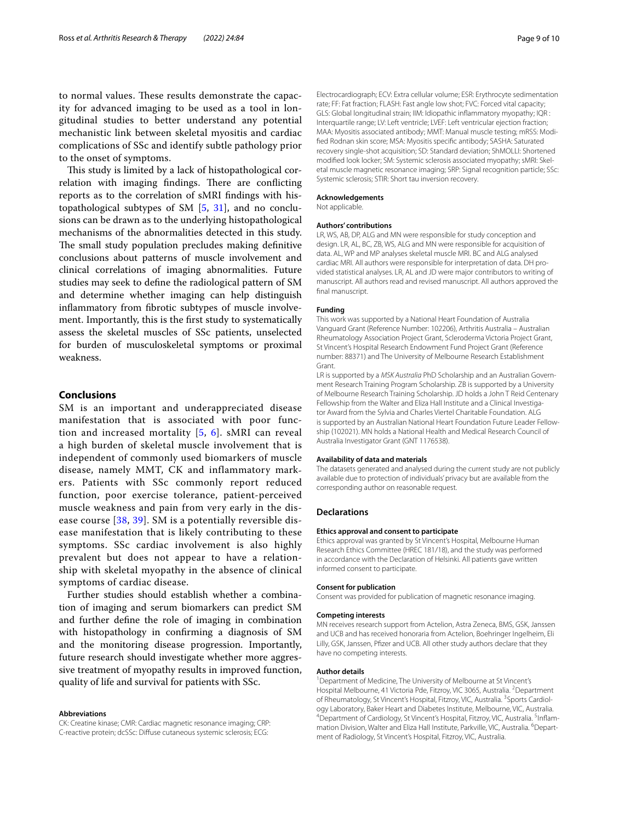to normal values. These results demonstrate the capacity for advanced imaging to be used as a tool in longitudinal studies to better understand any potential mechanistic link between skeletal myositis and cardiac complications of SSc and identify subtle pathology prior to the onset of symptoms.

This study is limited by a lack of histopathological correlation with imaging findings. There are conflicting reports as to the correlation of sMRI fndings with histopathological subtypes of SM [\[5,](#page-9-4) [31](#page-9-25)], and no conclusions can be drawn as to the underlying histopathological mechanisms of the abnormalities detected in this study. The small study population precludes making definitive conclusions about patterns of muscle involvement and clinical correlations of imaging abnormalities. Future studies may seek to defne the radiological pattern of SM and determine whether imaging can help distinguish infammatory from fbrotic subtypes of muscle involvement. Importantly, this is the frst study to systematically assess the skeletal muscles of SSc patients, unselected for burden of musculoskeletal symptoms or proximal weakness.

## **Conclusions**

SM is an important and underappreciated disease manifestation that is associated with poor function and increased mortality [\[5](#page-9-4), [6](#page-9-6)]. sMRI can reveal a high burden of skeletal muscle involvement that is independent of commonly used biomarkers of muscle disease, namely MMT, CK and inflammatory markers. Patients with SSc commonly report reduced function, poor exercise tolerance, patient-perceived muscle weakness and pain from very early in the disease course [[38](#page-9-32), [39\]](#page-9-33). SM is a potentially reversible disease manifestation that is likely contributing to these symptoms. SSc cardiac involvement is also highly prevalent but does not appear to have a relationship with skeletal myopathy in the absence of clinical symptoms of cardiac disease.

Further studies should establish whether a combination of imaging and serum biomarkers can predict SM and further defne the role of imaging in combination with histopathology in confrming a diagnosis of SM and the monitoring disease progression. Importantly, future research should investigate whether more aggressive treatment of myopathy results in improved function, quality of life and survival for patients with SSc.

#### **Abbreviations**

CK: Creatine kinase; CMR: Cardiac magnetic resonance imaging; CRP: C-reactive protein; dcSSc: Difuse cutaneous systemic sclerosis; ECG:

Electrocardiograph; ECV: Extra cellular volume; ESR: Erythrocyte sedimentation rate; FF: Fat fraction; FLASH: Fast angle low shot; FVC: Forced vital capacity; GLS: Global longitudinal strain; IIM: Idiopathic infammatory myopathy; IQR : Interquartile range; LV: Left ventricle; LVEF: Left ventricular ejection fraction; MAA: Myositis associated antibody; MMT: Manual muscle testing; mRSS: Modifed Rodnan skin score; MSA: Myositis specifc antibody; SASHA: Saturated recovery single-shot acquisition; SD: Standard deviation; ShMOLLI: Shortened modifed look locker; SM: Systemic sclerosis associated myopathy; sMRI: Skeletal muscle magnetic resonance imaging; SRP: Signal recognition particle; SSc: Systemic sclerosis; STIR: Short tau inversion recovery.

#### **Acknowledgements**

Not applicable.

#### **Authors' contributions**

LR, WS, AB, DP, ALG and MN were responsible for study conception and design. LR, AL, BC, ZB, WS, ALG and MN were responsible for acquisition of data. AL, WP and MP analyses skeletal muscle MRI. BC and ALG analysed cardiac MRI. All authors were responsible for interpretation of data. DH provided statistical analyses. LR, AL and JD were major contributors to writing of manuscript. All authors read and revised manuscript. All authors approved the fnal manuscript.

#### **Funding**

This work was supported by a National Heart Foundation of Australia Vanguard Grant (Reference Number: 102206), Arthritis Australia – Australian Rheumatology Association Project Grant, Scleroderma Victoria Project Grant, St Vincent's Hospital Research Endowment Fund Project Grant (Reference number: 88371) and The University of Melbourne Research Establishment Grant.

LR is supported by a *MSK Australia* PhD Scholarship and an Australian Government Research Training Program Scholarship. ZB is supported by a University of Melbourne Research Training Scholarship. JD holds a John T Reid Centenary Fellowship from the Walter and Eliza Hall Institute and a Clinical Investigator Award from the Sylvia and Charles Viertel Charitable Foundation. ALG is supported by an Australian National Heart Foundation Future Leader Fellowship (102021). MN holds a National Health and Medical Research Council of Australia Investigator Grant (GNT 1176538).

#### **Availability of data and materials**

The datasets generated and analysed during the current study are not publicly available due to protection of individuals' privacy but are available from the corresponding author on reasonable request.

#### **Declarations**

#### **Ethics approval and consent to participate**

Ethics approval was granted by St Vincent's Hospital, Melbourne Human Research Ethics Committee (HREC 181/18), and the study was performed in accordance with the Declaration of Helsinki. All patients gave written informed consent to participate.

#### **Consent for publication**

Consent was provided for publication of magnetic resonance imaging.

#### **Competing interests**

MN receives research support from Actelion, Astra Zeneca, BMS, GSK, Janssen and UCB and has received honoraria from Actelion, Boehringer Ingelheim, Eli Lilly, GSK, Janssen, Pfizer and UCB. All other study authors declare that they have no competing interests.

#### **Author details**

<sup>1</sup> Department of Medicine, The University of Melbourne at St Vincent's Hospital Melbourne, 41 Victoria Pde, Fitzroy, VIC 3065, Australia. <sup>2</sup> Department of Rheumatology, St Vincent's Hospital, Fitzroy, VIC, Australia. <sup>3</sup> Sports Cardiology Laboratory, Baker Heart and Diabetes Institute, Melbourne, VIC, Australia. 4 Department of Cardiology, St Vincent's Hospital, Fitzroy, VIC, Australia. <sup>5</sup>Inflammation Division, Walter and Eliza Hall Institute, Parkville, VIC, Australia. <sup>6</sup>Department of Radiology, St Vincent's Hospital, Fitzroy, VIC, Australia.